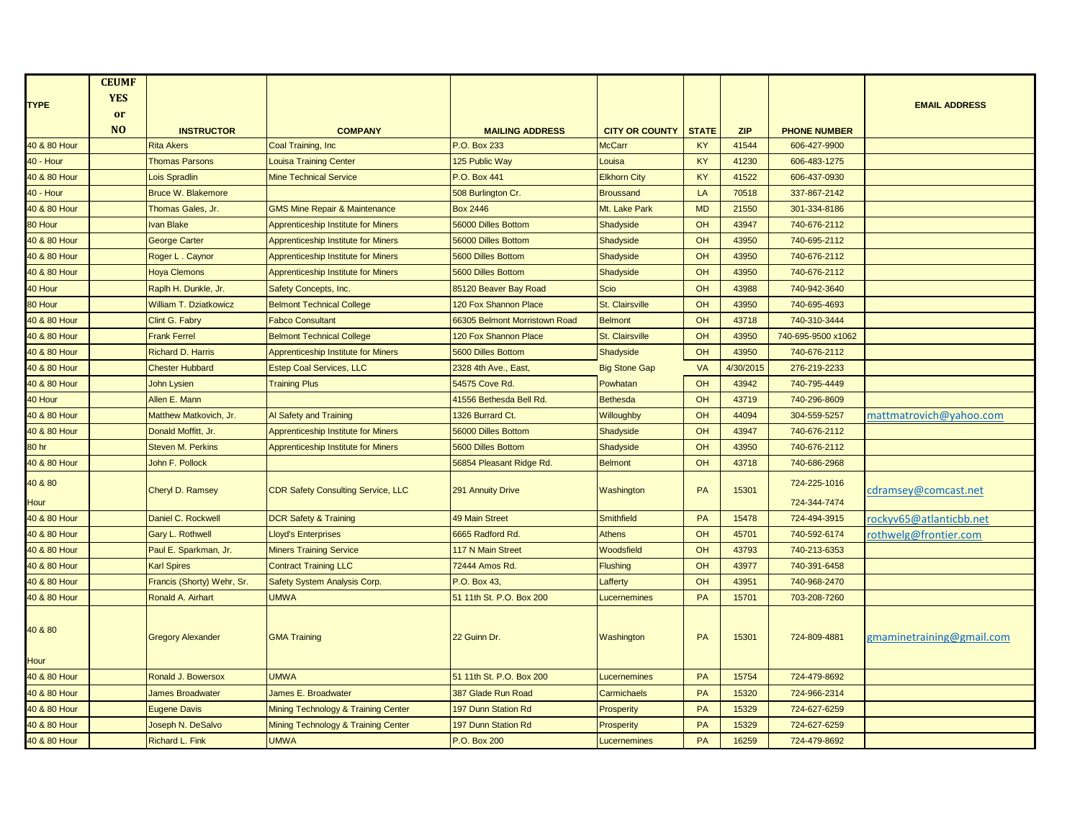|                  | <b>CEUMF</b>   |                               |                                            |                               |                        |              |            |                     |                           |
|------------------|----------------|-------------------------------|--------------------------------------------|-------------------------------|------------------------|--------------|------------|---------------------|---------------------------|
| <b>TYPE</b>      | <b>YES</b>     |                               |                                            |                               |                        |              |            |                     | <b>EMAIL ADDRESS</b>      |
|                  | or             |                               |                                            |                               |                        |              |            |                     |                           |
|                  | N <sub>O</sub> | <b>INSTRUCTOR</b>             | <b>COMPANY</b>                             | <b>MAILING ADDRESS</b>        | <b>CITY OR COUNTY</b>  | <b>STATE</b> | <b>ZIP</b> | <b>PHONE NUMBER</b> |                           |
| 40 & 80 Hour     |                | <b>Rita Akers</b>             | Coal Training, Inc.                        | P.O. Box 233                  | <b>McCarr</b>          | KY           | 41544      | 606-427-9900        |                           |
| 40 - Hour        |                | <b>Thomas Parsons</b>         | <b>Louisa Training Center</b>              | 125 Public Way                | Louisa                 | KY           | 41230      | 606-483-1275        |                           |
| 40 & 80 Hour     |                | <b>Lois Spradlin</b>          | <b>Mine Technical Service</b>              | P.O. Box 441                  | <b>Elkhorn City</b>    | KY           | 41522      | 606-437-0930        |                           |
| <b>40 - Hour</b> |                | <b>Bruce W. Blakemore</b>     |                                            | 508 Burlington Cr.            | <b>Broussand</b>       | LA           | 70518      | 337-867-2142        |                           |
| 40 & 80 Hour     |                | Thomas Gales, Jr.             | <b>GMS Mine Repair &amp; Maintenance</b>   | <b>Box 2446</b>               | Mt. Lake Park          | <b>MD</b>    | 21550      | 301-334-8186        |                           |
| 80 Hour          |                | <b>Ivan Blake</b>             | <b>Apprenticeship Institute for Miners</b> | 56000 Dilles Bottom           | Shadyside              | OH           | 43947      | 740-676-2112        |                           |
| 40 & 80 Hour     |                | <b>George Carter</b>          | <b>Apprenticeship Institute for Miners</b> | 56000 Dilles Bottom           | Shadyside              | OH           | 43950      | 740-695-2112        |                           |
| 40 & 80 Hour     |                | Roger L. Caynor               | <b>Apprenticeship Institute for Miners</b> | <b>5600 Dilles Bottom</b>     | Shadyside              | OH           | 43950      | 740-676-2112        |                           |
| 40 & 80 Hour     |                | <b>Hoya Clemons</b>           | <b>Apprenticeship Institute for Miners</b> | 5600 Dilles Bottom            | Shadyside              | OH           | 43950      | 740-676-2112        |                           |
| 40 Hour          |                | Raplh H. Dunkle, Jr.          | Safety Concepts, Inc.                      | 85120 Beaver Bay Road         | <b>Scio</b>            | OH           | 43988      | 740-942-3640        |                           |
| 80 Hour          |                | <b>William T. Dziatkowicz</b> | <b>Belmont Technical College</b>           | 120 Fox Shannon Place         | St. Clairsville        | OH           | 43950      | 740-695-4693        |                           |
| 40 & 80 Hour     |                | Clint G. Fabry                | <b>Fabco Consultant</b>                    | 66305 Belmont Morristown Road | <b>Belmont</b>         | OH           | 43718      | 740-310-3444        |                           |
| 40 & 80 Hour     |                | <b>Frank Ferrel</b>           | <b>Belmont Technical College</b>           | 120 Fox Shannon Place         | <b>St. Clairsville</b> | OH           | 43950      | 740-695-9500 x1062  |                           |
| 40 & 80 Hour     |                | <b>Richard D. Harris</b>      | <b>Apprenticeship Institute for Miners</b> | 5600 Dilles Bottom            | Shadyside              | OH           | 43950      | 740-676-2112        |                           |
| 40 & 80 Hour     |                | <b>Chester Hubbard</b>        | <b>Estep Coal Services, LLC</b>            | 2328 4th Ave., East,          | <b>Big Stone Gap</b>   | <b>VA</b>    | 4/30/2015  | 276-219-2233        |                           |
| 40 & 80 Hour     |                | <b>John Lysien</b>            | <b>Training Plus</b>                       | 54575 Cove Rd.                | Powhatan               | OH           | 43942      | 740-795-4449        |                           |
| 40 Hour          |                | Allen E. Mann                 |                                            | 41556 Bethesda Bell Rd.       | Bethesda               | OH           | 43719      | 740-296-8609        |                           |
| 40 & 80 Hour     |                | Matthew Matkovich, Jr.        | Al Safety and Training                     | 1326 Burrard Ct.              | Willoughby             | OH           | 44094      | 304-559-5257        | mattmatrovich@yahoo.com   |
| 40 & 80 Hour     |                | Donald Moffitt, Jr.           | <b>Apprenticeship Institute for Miners</b> | 56000 Dilles Bottom           | Shadyside              | OH           | 43947      | 740-676-2112        |                           |
| 80 hr            |                | <b>Steven M. Perkins</b>      | <b>Apprenticeship Institute for Miners</b> | 5600 Dilles Bottom            | Shadyside              | OH           | 43950      | 740-676-2112        |                           |
| 40 & 80 Hour     |                | John F. Pollock               |                                            | 56854 Pleasant Ridge Rd.      | <b>Belmont</b>         | OH           | 43718      | 740-686-2968        |                           |
| 40 & 80          |                |                               |                                            |                               |                        |              |            | 724-225-1016        |                           |
| Hour             |                | Cheryl D. Ramsey              | <b>CDR Safety Consulting Service, LLC</b>  | 291 Annuity Drive             | Washington             | PA           | 15301      | 724-344-7474        | cdramsey@comcast.net      |
| 40 & 80 Hour     |                | Daniel C. Rockwell            | <b>DCR Safety &amp; Training</b>           | <b>49 Main Street</b>         | <b>Smithfield</b>      | PA           | 15478      | 724-494-3915        | ockyv65@atlanticbb.net    |
| 40 & 80 Hour     |                | Gary L. Rothwell              | Lloyd's Enterprises                        | 6665 Radford Rd.              | <b>Athens</b>          | OH           | 45701      | 740-592-6174        | rothwelg@frontier.com     |
| 40 & 80 Hour     |                | Paul E. Sparkman, Jr.         | <b>Miners Training Service</b>             | <b>117 N Main Street</b>      | Woodsfield             | OH           | 43793      | 740-213-6353        |                           |
| 40 & 80 Hour     |                | <b>Karl Spires</b>            | <b>Contract Training LLC</b>               | 72444 Amos Rd.                | <b>Flushing</b>        | OH           | 43977      | 740-391-6458        |                           |
| 40 & 80 Hour     |                | Francis (Shorty) Wehr, Sr.    | Safety System Analysis Corp.               | P.O. Box 43.                  | Lafferty               | OH           | 43951      | 740-968-2470        |                           |
| 40 & 80 Hour     |                | Ronald A. Airhart             | <b>UMWA</b>                                | 51 11th St. P.O. Box 200      | Lucernemines           | PA           | 15701      | 703-208-7260        |                           |
|                  |                |                               |                                            |                               |                        |              |            |                     |                           |
| 40 & 80          |                |                               |                                            |                               |                        |              |            |                     |                           |
|                  |                | <b>Gregory Alexander</b>      | <b>GMA Training</b>                        | 22 Guinn Dr.                  | Washington             | <b>PA</b>    | 15301      | 724-809-4881        | gmaminetraining@gmail.com |
| <b>Hour</b>      |                |                               |                                            |                               |                        |              |            |                     |                           |
| 40 & 80 Hour     |                | Ronald J. Bowersox            | <b>UMWA</b>                                | 51 11th St. P.O. Box 200      | Lucernemines           | PA           | 15754      | 724-479-8692        |                           |
| 40 & 80 Hour     |                | <b>James Broadwater</b>       | James E. Broadwater                        | 387 Glade Run Road            | Carmichaels            | PA           | 15320      | 724-966-2314        |                           |
| 40 & 80 Hour     |                | <b>Eugene Davis</b>           | Mining Technology & Training Center        | 197 Dunn Station Rd           | Prosperity             | PA           | 15329      | 724-627-6259        |                           |
| 40 & 80 Hour     |                | Joseph N. DeSalvo             | Mining Technology & Training Center        | <b>197 Dunn Station Rd</b>    | Prosperity             | PA           | 15329      | 724-627-6259        |                           |
| 40 & 80 Hour     |                | Richard L. Fink               | <b>UMWA</b>                                | P.O. Box 200                  | Lucernemines           | PA           | 16259      | 724-479-8692        |                           |